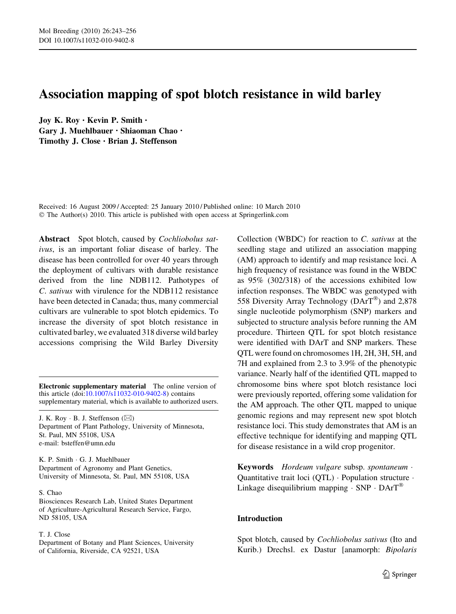# Association mapping of spot blotch resistance in wild barley

Joy K. Roy • Kevin P. Smith • Gary J. Muehlbauer • Shiaoman Chao • Timothy J. Close • Brian J. Steffenson

Received: 16 August 2009 / Accepted: 25 January 2010 / Published online: 10 March 2010 © The Author(s) 2010. This article is published with open access at Springerlink.com

Abstract Spot blotch, caused by Cochliobolus sativus, is an important foliar disease of barley. The disease has been controlled for over 40 years through the deployment of cultivars with durable resistance derived from the line NDB112. Pathotypes of C. sativus with virulence for the NDB112 resistance have been detected in Canada; thus, many commercial cultivars are vulnerable to spot blotch epidemics. To increase the diversity of spot blotch resistance in cultivated barley, we evaluated 318 diverse wild barley accessions comprising the Wild Barley Diversity

Electronic supplementary material The online version of this article (doi[:10.1007/s11032-010-9402-8\)](http://dx.doi.org/10.1007/s11032-010-9402-8) contains supplementary material, which is available to authorized users.

J. K. Roy  $\cdot$  B. J. Steffenson ( $\boxtimes$ ) Department of Plant Pathology, University of Minnesota, St. Paul, MN 55108, USA e-mail: bsteffen@umn.edu

K. P. Smith - G. J. Muehlbauer Department of Agronomy and Plant Genetics, University of Minnesota, St. Paul, MN 55108, USA

S. Chao

Biosciences Research Lab, United States Department of Agriculture-Agricultural Research Service, Fargo, ND 58105, USA

#### T. J. Close

Department of Botany and Plant Sciences, University of California, Riverside, CA 92521, USA

Collection (WBDC) for reaction to C. sativus at the seedling stage and utilized an association mapping (AM) approach to identify and map resistance loci. A high frequency of resistance was found in the WBDC as 95% (302/318) of the accessions exhibited low infection responses. The WBDC was genotyped with 558 Diversity Array Technology ( $DATA^{\circledR}$ ) and 2,878 single nucleotide polymorphism (SNP) markers and subjected to structure analysis before running the AM procedure. Thirteen QTL for spot blotch resistance were identified with DArT and SNP markers. These QTL were found on chromosomes 1H, 2H, 3H, 5H, and 7H and explained from 2.3 to 3.9% of the phenotypic variance. Nearly half of the identified QTL mapped to chromosome bins where spot blotch resistance loci were previously reported, offering some validation for the AM approach. The other QTL mapped to unique genomic regions and may represent new spot blotch resistance loci. This study demonstrates that AM is an effective technique for identifying and mapping QTL for disease resistance in a wild crop progenitor.

Keywords Hordeum vulgare subsp. spontaneum · Quantitative trait loci (QTL) · Population structure · Linkage disequilibrium mapping  $\cdot$  SNP  $\cdot$  DArT<sup>®</sup>

## Introduction

Spot blotch, caused by Cochliobolus sativus (Ito and Kurib.) Drechsl. ex Dastur [anamorph: Bipolaris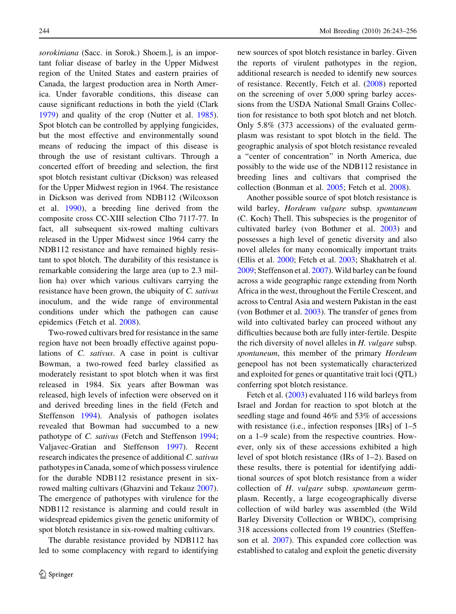sorokiniana (Sacc. in Sorok.) Shoem.], is an important foliar disease of barley in the Upper Midwest region of the United States and eastern prairies of Canada, the largest production area in North America. Under favorable conditions, this disease can cause significant reductions in both the yield (Clark [1979\)](#page-12-0) and quality of the crop (Nutter et al. [1985](#page-12-0)). Spot blotch can be controlled by applying fungicides, but the most effective and environmentally sound means of reducing the impact of this disease is through the use of resistant cultivars. Through a concerted effort of breeding and selection, the first spot blotch resistant cultivar (Dickson) was released for the Upper Midwest region in 1964. The resistance in Dickson was derived from NDB112 (Wilcoxson et al. [1990\)](#page-13-0), a breeding line derived from the composite cross CC-XIII selection CIho 7117-77. In fact, all subsequent six-rowed malting cultivars released in the Upper Midwest since 1964 carry the NDB112 resistance and have remained highly resistant to spot blotch. The durability of this resistance is remarkable considering the large area (up to 2.3 million ha) over which various cultivars carrying the resistance have been grown, the ubiquity of C. sativus inoculum, and the wide range of environmental conditions under which the pathogen can cause epidemics (Fetch et al. [2008](#page-12-0)).

Two-rowed cultivars bred for resistance in the same region have not been broadly effective against populations of C. sativus. A case in point is cultivar Bowman, a two-rowed feed barley classified as moderately resistant to spot blotch when it was first released in 1984. Six years after Bowman was released, high levels of infection were observed on it and derived breeding lines in the field (Fetch and Steffenson [1994\)](#page-12-0). Analysis of pathogen isolates revealed that Bowman had succumbed to a new pathotype of *C. sativus* (Fetch and Steffenson [1994](#page-12-0); Valjavec-Gratian and Steffenson [1997\)](#page-13-0). Recent research indicates the presence of additional C. sativus pathotypes in Canada, some of which possess virulence for the durable NDB112 resistance present in sixrowed malting cultivars (Ghazvini and Tekauz [2007](#page-12-0)). The emergence of pathotypes with virulence for the NDB112 resistance is alarming and could result in widespread epidemics given the genetic uniformity of spot blotch resistance in six-rowed malting cultivars.

The durable resistance provided by NDB112 has led to some complacency with regard to identifying new sources of spot blotch resistance in barley. Given the reports of virulent pathotypes in the region, additional research is needed to identify new sources of resistance. Recently, Fetch et al. ([2008\)](#page-12-0) reported on the screening of over 5,000 spring barley accessions from the USDA National Small Grains Collection for resistance to both spot blotch and net blotch. Only 5.8% (373 accessions) of the evaluated germplasm was resistant to spot blotch in the field. The geographic analysis of spot blotch resistance revealed a ''center of concentration'' in North America, due possibly to the wide use of the NDB112 resistance in breeding lines and cultivars that comprised the collection (Bonman et al. [2005](#page-12-0); Fetch et al. [2008](#page-12-0)).

Another possible source of spot blotch resistance is wild barley, Hordeum vulgare subsp. spontaneum (C. Koch) Thell. This subspecies is the progenitor of cultivated barley (von Bothmer et al. [2003](#page-13-0)) and possesses a high level of genetic diversity and also novel alleles for many economically important traits (Ellis et al. [2000;](#page-12-0) Fetch et al. [2003;](#page-12-0) Shakhatreh et al. [2009;](#page-12-0) Steffenson et al. [2007](#page-13-0)). Wild barley can be found across a wide geographic range extending from North Africa in the west, throughout the Fertile Crescent, and across to Central Asia and western Pakistan in the east (von Bothmer et al. [2003](#page-13-0)). The transfer of genes from wild into cultivated barley can proceed without any difficulties because both are fully inter-fertile. Despite the rich diversity of novel alleles in H. vulgare subsp. spontaneum, this member of the primary Hordeum genepool has not been systematically characterized and exploited for genes or quantitative trait loci (QTL) conferring spot blotch resistance.

Fetch et al. ([2003\)](#page-12-0) evaluated 116 wild barleys from Israel and Jordan for reaction to spot blotch at the seedling stage and found 46% and 53% of accessions with resistance (i.e., infection responses [IRs] of 1–5 on a 1–9 scale) from the respective countries. However, only six of these accessions exhibited a high level of spot blotch resistance (IRs of 1–2). Based on these results, there is potential for identifying additional sources of spot blotch resistance from a wider collection of H. vulgare subsp. spontaneum germplasm. Recently, a large ecogeographically diverse collection of wild barley was assembled (the Wild Barley Diversity Collection or WBDC), comprising 318 accessions collected from 19 countries (Steffenson et al. [2007](#page-13-0)). This expanded core collection was established to catalog and exploit the genetic diversity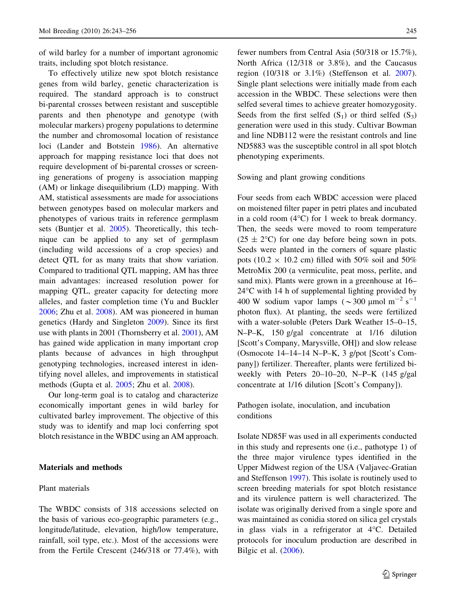of wild barley for a number of important agronomic traits, including spot blotch resistance.

To effectively utilize new spot blotch resistance genes from wild barley, genetic characterization is required. The standard approach is to construct bi-parental crosses between resistant and susceptible parents and then phenotype and genotype (with molecular markers) progeny populations to determine the number and chromosomal location of resistance loci (Lander and Botstein [1986](#page-12-0)). An alternative approach for mapping resistance loci that does not require development of bi-parental crosses or screening generations of progeny is association mapping (AM) or linkage disequilibrium (LD) mapping. With AM, statistical assessments are made for associations between genotypes based on molecular markers and phenotypes of various traits in reference germplasm sets (Buntjer et al. [2005](#page-12-0)). Theoretically, this technique can be applied to any set of germplasm (including wild accessions of a crop species) and detect QTL for as many traits that show variation. Compared to traditional QTL mapping, AM has three main advantages: increased resolution power for mapping QTL, greater capacity for detecting more alleles, and faster completion time (Yu and Buckler [2006;](#page-13-0) Zhu et al. [2008\)](#page-13-0). AM was pioneered in human genetics (Hardy and Singleton [2009\)](#page-12-0). Since its first use with plants in 2001 (Thornsberry et al. [2001](#page-13-0)), AM has gained wide application in many important crop plants because of advances in high throughput genotyping technologies, increased interest in identifying novel alleles, and improvements in statistical methods (Gupta et al. [2005;](#page-12-0) Zhu et al. [2008\)](#page-13-0).

Our long-term goal is to catalog and characterize economically important genes in wild barley for cultivated barley improvement. The objective of this study was to identify and map loci conferring spot blotch resistance in the WBDC using an AM approach.

# Materials and methods

# Plant materials

The WBDC consists of 318 accessions selected on the basis of various eco-geographic parameters (e.g., longitude/latitude, elevation, high/low temperature, rainfall, soil type, etc.). Most of the accessions were from the Fertile Crescent (246/318 or 77.4%), with fewer numbers from Central Asia (50/318 or 15.7%), North Africa (12/318 or 3.8%), and the Caucasus region (10/318 or 3.1%) (Steffenson et al. [2007](#page-13-0)). Single plant selections were initially made from each accession in the WBDC. These selections were then selfed several times to achieve greater homozygosity. Seeds from the first selfed  $(S_1)$  or third selfed  $(S_3)$ generation were used in this study. Cultivar Bowman and line NDB112 were the resistant controls and line ND5883 was the susceptible control in all spot blotch phenotyping experiments.

Sowing and plant growing conditions

Four seeds from each WBDC accession were placed on moistened filter paper in petri plates and incubated in a cold room  $(4^{\circ}C)$  for 1 week to break dormancy. Then, the seeds were moved to room temperature  $(25 \pm 2^{\circ}C)$  for one day before being sown in pots. Seeds were planted in the corners of square plastic pots (10.2  $\times$  10.2 cm) filled with 50% soil and 50% MetroMix 200 (a vermiculite, peat moss, perlite, and sand mix). Plants were grown in a greenhouse at 16–  $24^{\circ}$ C with 14 h of supplemental lighting provided by 400 W sodium vapor lamps ( $\sim$ 300 µmol m<sup>-2</sup> s<sup>-1</sup> photon flux). At planting, the seeds were fertilized with a water-soluble (Peters Dark Weather 15–0–15, N–P–K, 150 g/gal concentrate at 1/16 dilution [Scott's Company, Marysville, OH]) and slow release (Osmocote 14–14–14 N–P–K, 3 g/pot [Scott's Company]) fertilizer. Thereafter, plants were fertilized biweekly with Peters 20–10–20, N–P–K (145 g/gal concentrate at 1/16 dilution [Scott's Company]).

Pathogen isolate, inoculation, and incubation conditions

Isolate ND85F was used in all experiments conducted in this study and represents one (i.e., pathotype 1) of the three major virulence types identified in the Upper Midwest region of the USA (Valjavec-Gratian and Steffenson [1997\)](#page-13-0). This isolate is routinely used to screen breeding materials for spot blotch resistance and its virulence pattern is well characterized. The isolate was originally derived from a single spore and was maintained as conidia stored on silica gel crystals in glass vials in a refrigerator at  $4^{\circ}$ C. Detailed protocols for inoculum production are described in Bilgic et al. ([2006\)](#page-11-0).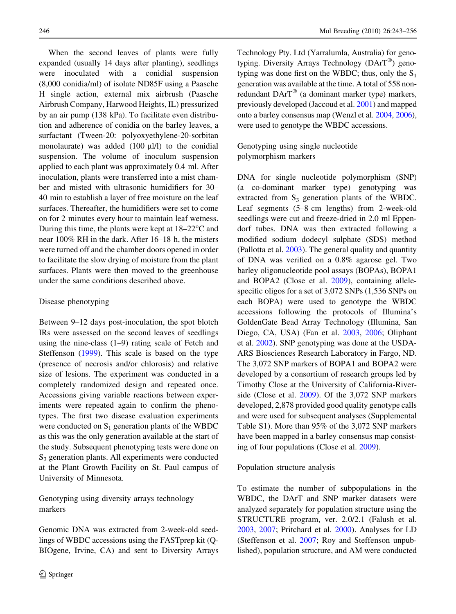When the second leaves of plants were fully expanded (usually 14 days after planting), seedlings were inoculated with a conidial suspension (8,000 conidia/ml) of isolate ND85F using a Paasche H single action, external mix airbrush (Paasche Airbrush Company, Harwood Heights, IL) pressurized by an air pump (138 kPa). To facilitate even distribution and adherence of conidia on the barley leaves, a surfactant (Tween-20: polyoxyethylene-20-sorbitan monolaurate) was added  $(100 \mu I/I)$  to the conidial suspension. The volume of inoculum suspension applied to each plant was approximately 0.4 ml. After inoculation, plants were transferred into a mist chamber and misted with ultrasonic humidifiers for 30– 40 min to establish a layer of free moisture on the leaf surfaces. Thereafter, the humidifiers were set to come on for 2 minutes every hour to maintain leaf wetness. During this time, the plants were kept at  $18-22^{\circ}$ C and near 100% RH in the dark. After 16–18 h, the misters were turned off and the chamber doors opened in order to facilitate the slow drying of moisture from the plant surfaces. Plants were then moved to the greenhouse under the same conditions described above.

# Disease phenotyping

Between 9–12 days post-inoculation, the spot blotch IRs were assessed on the second leaves of seedlings using the nine-class (1–9) rating scale of Fetch and Steffenson [\(1999](#page-12-0)). This scale is based on the type (presence of necrosis and/or chlorosis) and relative size of lesions. The experiment was conducted in a completely randomized design and repeated once. Accessions giving variable reactions between experiments were repeated again to confirm the phenotypes. The first two disease evaluation experiments were conducted on  $S_1$  generation plants of the WBDC as this was the only generation available at the start of the study. Subsequent phenotyping tests were done on  $S<sub>3</sub>$  generation plants. All experiments were conducted at the Plant Growth Facility on St. Paul campus of University of Minnesota.

Genotyping using diversity arrays technology markers

Genomic DNA was extracted from 2-week-old seedlings of WBDC accessions using the FASTprep kit (Q-BIOgene, Irvine, CA) and sent to Diversity Arrays

Technology Pty. Ltd (Yarralumla, Australia) for genotyping. Diversity Arrays Technology ( $DATA^{\circledR}$ ) genotyping was done first on the WBDC; thus, only the  $S_1$ generation was available at the time. A total of 558 nonredundant  $\text{DAT}^{\circledast}$  (a dominant marker type) markers, previously developed (Jaccoud et al. [2001\)](#page-12-0) and mapped onto a barley consensus map (Wenzl et al. [2004](#page-13-0), [2006\)](#page-13-0), were used to genotype the WBDC accessions.

Genotyping using single nucleotide polymorphism markers

DNA for single nucleotide polymorphism (SNP) (a co-dominant marker type) genotyping was extracted from  $S_3$  generation plants of the WBDC. Leaf segments (5–8 cm lengths) from 2-week-old seedlings were cut and freeze-dried in 2.0 ml Eppendorf tubes. DNA was then extracted following a modified sodium dodecyl sulphate (SDS) method (Pallotta et al. [2003\)](#page-12-0). The general quality and quantity of DNA was verified on a 0.8% agarose gel. Two barley oligonucleotide pool assays (BOPAs), BOPA1 and BOPA2 (Close et al. [2009\)](#page-12-0), containing allelespecific oligos for a set of 3,072 SNPs (1,536 SNPs on each BOPA) were used to genotype the WBDC accessions following the protocols of Illumina's GoldenGate Bead Array Technology (Illumina, San Diego, CA, USA) (Fan et al. [2003,](#page-12-0) [2006](#page-12-0); Oliphant et al. [2002](#page-12-0)). SNP genotyping was done at the USDA-ARS Biosciences Research Laboratory in Fargo, ND. The 3,072 SNP markers of BOPA1 and BOPA2 were developed by a consortium of research groups led by Timothy Close at the University of California-Riverside (Close et al. [2009\)](#page-12-0). Of the 3,072 SNP markers developed, 2,878 provided good quality genotype calls and were used for subsequent analyses (Supplemental Table S1). More than 95% of the 3,072 SNP markers have been mapped in a barley consensus map consisting of four populations (Close et al. [2009](#page-12-0)).

## Population structure analysis

To estimate the number of subpopulations in the WBDC, the DArT and SNP marker datasets were analyzed separately for population structure using the STRUCTURE program, ver. 2.0/2.1 (Falush et al. [2003,](#page-12-0) [2007;](#page-12-0) Pritchard et al. [2000](#page-12-0)). Analyses for LD (Steffenson et al. [2007;](#page-13-0) Roy and Steffenson unpublished), population structure, and AM were conducted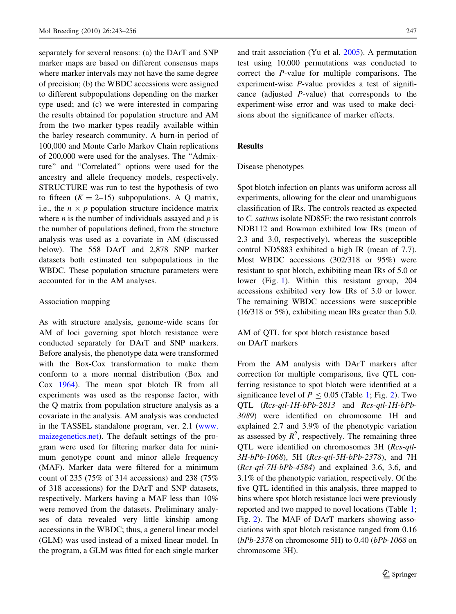separately for several reasons: (a) the DArT and SNP marker maps are based on different consensus maps where marker intervals may not have the same degree of precision; (b) the WBDC accessions were assigned to different subpopulations depending on the marker type used; and (c) we were interested in comparing the results obtained for population structure and AM from the two marker types readily available within the barley research community. A burn-in period of 100,000 and Monte Carlo Markov Chain replications of 200,000 were used for the analyses. The ''Admixture'' and ''Correlated'' options were used for the ancestry and allele frequency models, respectively. STRUCTURE was run to test the hypothesis of two to fifteen  $(K = 2-15)$  subpopulations. A Q matrix, i.e., the  $n \times p$  population structure incidence matrix where  $n$  is the number of individuals assayed and  $p$  is the number of populations defined, from the structure analysis was used as a covariate in AM (discussed below). The 558 DArT and 2,878 SNP marker datasets both estimated ten subpopulations in the WBDC. These population structure parameters were accounted for in the AM analyses.

#### Association mapping

As with structure analysis, genome-wide scans for AM of loci governing spot blotch resistance were conducted separately for DArT and SNP markers. Before analysis, the phenotype data were transformed with the Box-Cox transformation to make them conform to a more normal distribution (Box and Cox [1964](#page-12-0)). The mean spot blotch IR from all experiments was used as the response factor, with the Q matrix from population structure analysis as a covariate in the analysis. AM analysis was conducted in the TASSEL standalone program, ver. 2.1 [\(www.](http://www.maizegenetics.net) [maizegenetics.net](http://www.maizegenetics.net)). The default settings of the program were used for filtering marker data for minimum genotype count and minor allele frequency (MAF). Marker data were filtered for a minimum count of 235 (75% of 314 accessions) and 238 (75% of 318 accessions) for the DArT and SNP datasets, respectively. Markers having a MAF less than 10% were removed from the datasets. Preliminary analyses of data revealed very little kinship among accessions in the WBDC; thus, a general linear model (GLM) was used instead of a mixed linear model. In the program, a GLM was fitted for each single marker and trait association (Yu et al. [2005](#page-13-0)). A permutation test using 10,000 permutations was conducted to correct the P-value for multiple comparisons. The experiment-wise P-value provides a test of significance (adjusted P-value) that corresponds to the experiment-wise error and was used to make decisions about the significance of marker effects.

# Results

#### Disease phenotypes

Spot blotch infection on plants was uniform across all experiments, allowing for the clear and unambiguous classification of IRs. The controls reacted as expected to C. sativus isolate ND85F: the two resistant controls NDB112 and Bowman exhibited low IRs (mean of 2.3 and 3.0, respectively), whereas the susceptible control ND5883 exhibited a high IR (mean of 7.7). Most WBDC accessions (302/318 or 95%) were resistant to spot blotch, exhibiting mean IRs of 5.0 or lower (Fig. [1](#page-5-0)). Within this resistant group, 204 accessions exhibited very low IRs of 3.0 or lower. The remaining WBDC accessions were susceptible (16/318 or 5%), exhibiting mean IRs greater than 5.0.

AM of QTL for spot blotch resistance based on DArT markers

From the AM analysis with DArT markers after correction for multiple comparisons, five QTL conferring resistance to spot blotch were identified at a significance level of  $P \le 0.05$  (Table [1;](#page-6-0) Fig. [2](#page-8-0)). Two QTL (Rcs-qtl-1H-bPb-2813 and Rcs-qtl-1H-bPb-3089) were identified on chromosome 1H and explained 2.7 and 3.9% of the phenotypic variation as assessed by  $R^2$ , respectively. The remaining three QTL were identified on chromosomes 3H (Rcs-qtl-3H-bPb-1068), 5H (Rcs-qtl-5H-bPb-2378), and 7H  $(Rcs-qtl-7H-bPb-4584)$  and explained 3.6, 3.6, and 3.1% of the phenotypic variation, respectively. Of the five QTL identified in this analysis, three mapped to bins where spot blotch resistance loci were previously reported and two mapped to novel locations (Table [1](#page-6-0); Fig. [2\)](#page-8-0). The MAF of DArT markers showing associations with spot blotch resistance ranged from 0.16  $(bPb-2378$  on chromosome 5H) to 0.40  $(bPb-1068$  on chromosome 3H).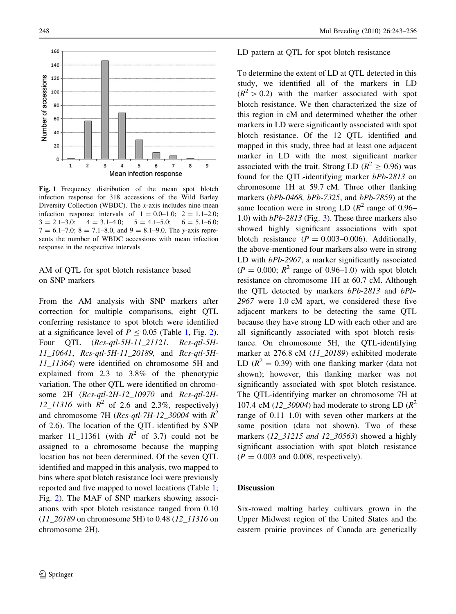<span id="page-5-0"></span>

Fig. 1 Frequency distribution of the mean spot blotch infection response for 318 accessions of the Wild Barley Diversity Collection (WBDC). The x-axis includes nine mean infection response intervals of  $1 = 0.0-1.0$ ;  $2 = 1.1-2.0$ ;<br> $3 = 2.1-3.0$ ;  $4 = 3.1-4.0$ ;  $5 = 4.1-5.0$ ;  $6 = 5.1-6.0$ ;  $3 = 2.1 - 3.0;$   $4 = 3.1 - 4.0;$   $5 = 4.1 - 5.0;$  $7 = 6.1 - 7.0$ ;  $8 = 7.1 - 8.0$ , and  $9 = 8.1 - 9.0$ . The y-axis represents the number of WBDC accessions with mean infection response in the respective intervals

# AM of QTL for spot blotch resistance based on SNP markers

From the AM analysis with SNP markers after correction for multiple comparisons, eight QTL conferring resistance to spot blotch were identified at a significance level of  $P \le 0.05$  (Table [1](#page-6-0), Fig. [2](#page-8-0)). Four QTL (Rcs-qtl-5H-11\_21121, Rcs-qtl-5H-11\_10641, Rcs-qtl-5H-11\_20189, and Rcs-qtl-5H-11\_11364) were identified on chromosome 5H and explained from 2.3 to 3.8% of the phenotypic variation. The other QTL were identified on chromosome  $2H$  ( $Rcs-qtl-2H-12$  10970 and  $Rcs-qtl-2H-$ 12\_11316 with  $R^2$  of 2.6 and 2.3%, respectively) and chromosome 7H ( $Rcs-qtl-7H-12$  30004 with  $R^2$ of 2.6). The location of the QTL identified by SNP marker 11\_11361 (with  $R^2$  of 3.7) could not be assigned to a chromosome because the mapping location has not been determined. Of the seven QTL identified and mapped in this analysis, two mapped to bins where spot blotch resistance loci were previously reported and five mapped to novel locations (Table [1](#page-6-0); Fig. [2\)](#page-8-0). The MAF of SNP markers showing associations with spot blotch resistance ranged from 0.10 (11\_20189 on chromosome 5H) to 0.48 (12\_11316 on chromosome 2H).

#### LD pattern at QTL for spot blotch resistance

To determine the extent of LD at QTL detected in this study, we identified all of the markers in LD  $(R^2 > 0.2)$  with the marker associated with spot blotch resistance. We then characterized the size of this region in cM and determined whether the other markers in LD were significantly associated with spot blotch resistance. Of the 12 QTL identified and mapped in this study, three had at least one adjacent marker in LD with the most significant marker associated with the trait. Strong LD ( $R^2 > 0.96$ ) was found for the QTL-identifying marker bPb-2813 on chromosome 1H at 59.7 cM. Three other flanking markers (bPb-0468, bPb-7325, and bPb-7859) at the same location were in strong LD  $(R^2$  range of 0.96– 1.0) with  $bPb-2813$  (Fig. [3\)](#page-9-0). These three markers also showed highly significant associations with spot blotch resistance  $(P = 0.003 - 0.006)$ . Additionally, the above-mentioned four markers also were in strong LD with *bPb-2967*, a marker significantly associated  $(P = 0.000; R^2$  range of 0.96–1.0) with spot blotch resistance on chromosome 1H at 60.7 cM. Although the QTL detected by markers bPb-2813 and bPb-2967 were 1.0 cM apart, we considered these five adjacent markers to be detecting the same QTL because they have strong LD with each other and are all significantly associated with spot blotch resistance. On chromosome 5H, the QTL-identifying marker at 276.8 cM (11\_20189) exhibited moderate LD ( $R^2 = 0.39$ ) with one flanking marker (data not shown); however, this flanking marker was not significantly associated with spot blotch resistance. The QTL-identifying marker on chromosome 7H at 107.4 cM ( $12\_30004$ ) had moderate to strong LD ( $R^2$ ) range of 0.11–1.0) with seven other markers at the same position (data not shown). Two of these markers (12\_31215 and 12\_30563) showed a highly significant association with spot blotch resistance  $(P = 0.003$  and 0.008, respectively).

#### **Discussion**

Six-rowed malting barley cultivars grown in the Upper Midwest region of the United States and the eastern prairie provinces of Canada are genetically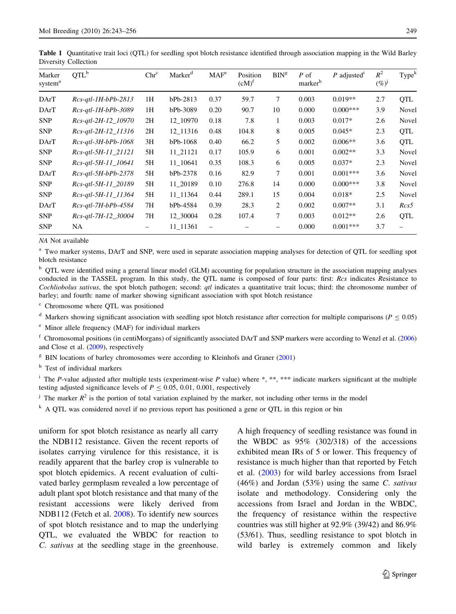<span id="page-6-0"></span>

| Marker<br>system <sup>a</sup> | $QTL^b$               | Chr <sup>c</sup> | Marker <sup>d</sup> | MAF <sup>e</sup> | Position<br>$(cM)^{t}$ | $\text{BIN}^g$ | P of<br>marker <sup>h</sup> | $P$ adjusted <sup>1</sup> | $R^2$<br>$(\%)^j$ | Type <sup>k</sup> |
|-------------------------------|-----------------------|------------------|---------------------|------------------|------------------------|----------------|-----------------------------|---------------------------|-------------------|-------------------|
| DArT                          | $Rcs-qtl-1H-bPb-2813$ | 1H               | bPb-2813            | 0.37             | 59.7                   | $\tau$         | 0.003                       | $0.019**$                 | 2.7               | QTL               |
| DArT                          | $Rcs-qtl-1H-bPb-3089$ | 1H               | bPb-3089            | 0.20             | 90.7                   | 10             | 0.000                       | $0.000***$                | 3.9               | Novel             |
| <b>SNP</b>                    | Rcs-qtl-2H-12_10970   | 2H               | 12_10970            | 0.18             | 7.8                    | 1              | 0.003                       | $0.017*$                  | 2.6               | Novel             |
| <b>SNP</b>                    | Rcs-qtl-2H-12_11316   | 2H               | 12 11316            | 0.48             | 104.8                  | 8              | 0.005                       | $0.045*$                  | 2.3               | QTL               |
| DArT                          | $Rcs-qtl-3H-bPb-1068$ | 3H               | bPb-1068            | 0.40             | 66.2                   | 5              | 0.002                       | $0.006**$                 | 3.6               | <b>QTL</b>        |
| <b>SNP</b>                    | Rcs-qtl-5H-11_21121   | 5H               | 11_21121            | 0.17             | 105.9                  | 6              | 0.001                       | $0.002**$                 | 3.3               | Novel             |
| <b>SNP</b>                    | $Rcs-qtl-5H-11_10641$ | 5H               | 11 10641            | 0.35             | 108.3                  | 6              | 0.005                       | $0.037*$                  | 2.3               | Novel             |
| DArT                          | $Rcs-qtl-5H-bPb-2378$ | 5H               | bPb-2378            | 0.16             | 82.9                   | 7              | 0.001                       | $0.001***$                | 3.6               | Novel             |
| <b>SNP</b>                    | Rcs-qtl-5H-11_20189   | 5H               | 11 20189            | 0.10             | 276.8                  | 14             | 0.000                       | $0.000***$                | 3.8               | Novel             |
| <b>SNP</b>                    | Rcs-qtl-5H-11_11364   | 5H               | 11 11364            | 0.44             | 289.1                  | 15             | 0.004                       | $0.018*$                  | 2.5               | Novel             |
| DArT                          | $Rcs-qtl-7H-bPb-4584$ | 7H               | bPb-4584            | 0.39             | 28.3                   | 2              | 0.002                       | $0.007**$                 | 3.1               | Rcs5              |
| <b>SNP</b>                    | Rcs-qtl-7H-12_30004   | 7H               | 12 30004            | 0.28             | 107.4                  | 7              | 0.003                       | $0.012**$                 | 2.6               | QTL               |
| <b>SNP</b>                    | NA                    |                  | 11 11361            | -                |                        |                | 0.000                       | $0.001***$                | 3.7               | -                 |

NA Not available

<sup>a</sup> Two marker systems, DArT and SNP, were used in separate association mapping analyses for detection of OTL for seedling spot blotch resistance

<sup>b</sup> QTL were identified using a general linear model (GLM) accounting for population structure in the association mapping analyses conducted in the TASSEL program. In this study, the QTL name is composed of four parts: first: Rcs indicates Resistance to Cochliobolus sativus, the spot blotch pathogen; second: qtl indicates a quantitative trait locus; third: the chromosome number of barley; and fourth: name of marker showing significant association with spot blotch resistance

<sup>c</sup> Chromosome where QTL was positioned

<sup>d</sup> Markers showing significant association with seedling spot blotch resistance after correction for multiple comparisons ( $P \le 0.05$ )

<sup>e</sup> Minor allele frequency (MAF) for individual markers

 $f$  Chromosomal positions (in centiMorgans) of significantly associated DArT and SNP markers were according to Wenzl et al. ([2006](#page-13-0)) and Close et al. ([2009\)](#page-12-0), respectively

 $g$  BIN locations of barley chromosomes were according to Kleinhofs and Graner ([2001\)](#page-12-0)

h Test of individual markers

<sup>i</sup> The P-value adjusted after multiple tests (experiment-wise P value) where  $*, **$ , \*\*\* indicate markers significant at the multiple testing adjusted significance levels of  $P \le 0.05$ , 0.01, 0.001, respectively

<sup>j</sup> The marker  $R^2$  is the portion of total variation explained by the marker, not including other terms in the model

 $k$  A QTL was considered novel if no previous report has positioned a gene or QTL in this region or bin

uniform for spot blotch resistance as nearly all carry the NDB112 resistance. Given the recent reports of isolates carrying virulence for this resistance, it is readily apparent that the barley crop is vulnerable to spot blotch epidemics. A recent evaluation of cultivated barley germplasm revealed a low percentage of adult plant spot blotch resistance and that many of the resistant accessions were likely derived from NDB112 (Fetch et al. [2008](#page-12-0)). To identify new sources of spot blotch resistance and to map the underlying QTL, we evaluated the WBDC for reaction to C. sativus at the seedling stage in the greenhouse.

A high frequency of seedling resistance was found in the WBDC as 95% (302/318) of the accessions exhibited mean IRs of 5 or lower. This frequency of resistance is much higher than that reported by Fetch et al. ([2003\)](#page-12-0) for wild barley accessions from Israel (46%) and Jordan (53%) using the same C. sativus isolate and methodology. Considering only the accessions from Israel and Jordan in the WBDC, the frequency of resistance within the respective countries was still higher at 92.9% (39/42) and 86.9% (53/61). Thus, seedling resistance to spot blotch in wild barley is extremely common and likely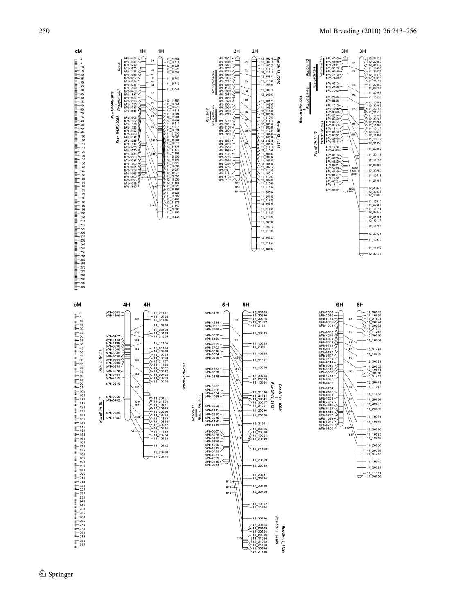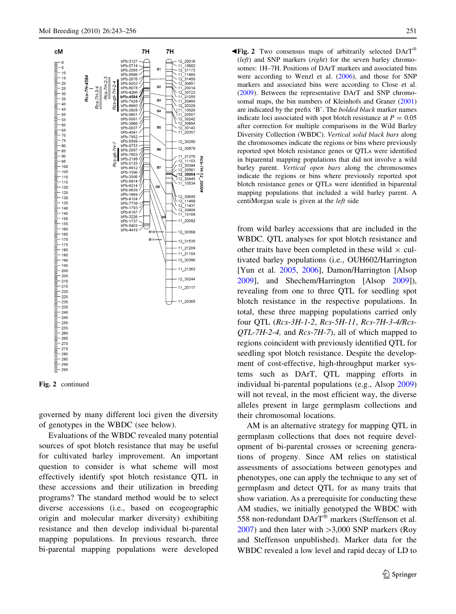<span id="page-8-0"></span>



governed by many different loci given the diversity of genotypes in the WBDC (see below).

Evaluations of the WBDC revealed many potential sources of spot blotch resistance that may be useful for cultivated barley improvement. An important question to consider is what scheme will most effectively identify spot blotch resistance QTL in these accessions and their utilization in breeding programs? The standard method would be to select diverse accessions (i.e., based on ecogeographic origin and molecular marker diversity) exhibiting resistance and then develop individual bi-parental mapping populations. In previous research, three bi-parental mapping populations were developed  $\blacktriangleleft$  **Fig. 2** Two consensus maps of arbitrarily selected DArT<sup>®</sup>  $(left)$  and SNP markers (*right*) for the seven barley chromosomes: 1H–7H. Positions of DArT markers and associated bins were according to Wenzl et al. [\(2006](#page-13-0)), and those for SNP markers and associated bins were according to Close et al. ([2009\)](#page-12-0). Between the representative DArT and SNP chromo-somal maps, the bin numbers of Kleinhofs and Graner ([2001](#page-12-0)) are indicated by the prefix 'B'. The bolded black marker names indicate loci associated with spot blotch resistance at  $P = 0.05$ after correction for multiple comparisons in the Wild Barley Diversity Collection (WBDC). Vertical solid black bars along the chromosomes indicate the regions or bins where previously reported spot blotch resistance genes or QTLs were identified in biparental mapping populations that did not involve a wild barley parent. Vertical open bars along the chromosomes indicate the regions or bins where previously reported spot blotch resistance genes or QTLs were identified in biparental mapping populations that included a wild barley parent. A centiMorgan scale is given at the left side

from wild barley accessions that are included in the WBDC. QTL analyses for spot blotch resistance and other traits have been completed in these wild  $\times$  cultivated barley populations (i.e., OUH602/Harrington [Yun et al. [2005,](#page-13-0) [2006](#page-13-0)], Damon/Harrington [Alsop [2009\]](#page-11-0), and Shechem/Harrington [Alsop [2009](#page-11-0)]), revealing from one to three QTL for seedling spot blotch resistance in the respective populations. In total, these three mapping populations carried only four QTL (Rcs-3H-1-2, Rcs-5H-11, Rcs-7H-3-4/Rcs- $QTL-7H-2-4$ , and  $Rcs-7H-7$ , all of which mapped to regions coincident with previously identified QTL for seedling spot blotch resistance. Despite the development of cost-effective, high-throughput marker systems such as DArT, QTL mapping efforts in individual bi-parental populations (e.g., Alsop [2009\)](#page-11-0) will not reveal, in the most efficient way, the diverse alleles present in large germplasm collections and their chromosomal locations.

AM is an alternative strategy for mapping QTL in germplasm collections that does not require development of bi-parental crosses or screening generations of progeny. Since AM relies on statistical assessments of associations between genotypes and phenotypes, one can apply the technique to any set of germplasm and detect QTL for as many traits that show variation. As a prerequisite for conducting these AM studies, we initially genotyped the WBDC with 558 non-redundant  $\text{DArT}^{\textcircled{}}$  markers (Steffenson et al.  $2007$ ) and then later with  $>3,000$  SNP markers (Roy and Steffenson unpublished). Marker data for the WBDC revealed a low level and rapid decay of LD to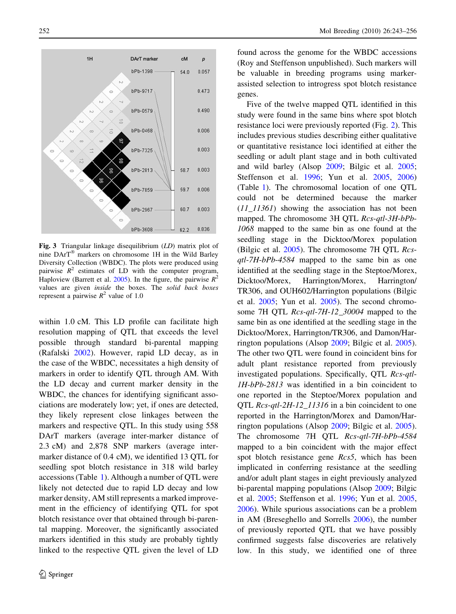<span id="page-9-0"></span>

Fig. 3 Triangular linkage disequilibrium (LD) matrix plot of nine  $\text{DArT}^{\text{w}}$  markers on chromosome 1H in the Wild Barley Diversity Collection (WBDC). The plots were produced using pairwise  $R^2$  estimates of LD with the computer program, Haploview (Barrett et al. [2005](#page-11-0)). In the figure, the pairwise  $R^2$ values are given inside the boxes. The solid back boxes represent a pairwise  $R^2$  value of 1.0

within 1.0 cM. This LD profile can facilitate high resolution mapping of QTL that exceeds the level possible through standard bi-parental mapping (Rafalski [2002\)](#page-12-0). However, rapid LD decay, as in the case of the WBDC, necessitates a high density of markers in order to identify QTL through AM. With the LD decay and current marker density in the WBDC, the chances for identifying significant associations are moderately low; yet, if ones are detected, they likely represent close linkages between the markers and respective QTL. In this study using 558 DArT markers (average inter-marker distance of 2.3 cM) and 2,878 SNP markers (average intermarker distance of 0.4 cM), we identified 13 QTL for seedling spot blotch resistance in 318 wild barley accessions (Table [1](#page-6-0)). Although a number of QTL were likely not detected due to rapid LD decay and low marker density, AM still represents a marked improvement in the efficiency of identifying QTL for spot blotch resistance over that obtained through bi-parental mapping. Moreover, the significantly associated markers identified in this study are probably tightly linked to the respective QTL given the level of LD found across the genome for the WBDC accessions (Roy and Steffenson unpublished). Such markers will be valuable in breeding programs using markerassisted selection to introgress spot blotch resistance genes.

Five of the twelve mapped QTL identified in this study were found in the same bins where spot blotch resistance loci were previously reported (Fig. [2](#page-8-0)). This includes previous studies describing either qualitative or quantitative resistance loci identified at either the seedling or adult plant stage and in both cultivated and wild barley (Alsop [2009](#page-11-0); Bilgic et al. [2005](#page-11-0); Steffenson et al. [1996](#page-13-0); Yun et al. [2005,](#page-13-0) [2006\)](#page-13-0) (Table [1](#page-6-0)). The chromosomal location of one QTL could not be determined because the marker (11\_11361) showing the association has not been mapped. The chromosome 3H QTL Rcs-qtl-3H-bPb-1068 mapped to the same bin as one found at the seedling stage in the Dicktoo/Morex population (Bilgic et al. [2005](#page-11-0)). The chromosome 7H QTL Rcsqtl-7H-bPb-4584 mapped to the same bin as one identified at the seedling stage in the Steptoe/Morex, Dicktoo/Morex, Harrington/Morex, Harrington/ TR306, and OUH602/Harrington populations (Bilgic et al. [2005](#page-11-0); Yun et al. [2005](#page-13-0)). The second chromosome 7H QTL Rcs-qtl-7H-12\_30004 mapped to the same bin as one identified at the seedling stage in the Dicktoo/Morex, Harrington/TR306, and Damon/Harrington populations (Alsop [2009](#page-11-0); Bilgic et al. [2005](#page-11-0)). The other two QTL were found in coincident bins for adult plant resistance reported from previously investigated populations. Specifically, QTL Rcs-atl-1H-bPb-2813 was identified in a bin coincident to one reported in the Steptoe/Morex population and QTL Rcs-qtl-2H-12\_11316 in a bin coincident to one reported in the Harrington/Morex and Damon/Harrington populations (Alsop [2009](#page-11-0); Bilgic et al. [2005](#page-11-0)). The chromosome 7H QTL Rcs-qtl-7H-bPb-4584 mapped to a bin coincident with the major effect spot blotch resistance gene Rcs5, which has been implicated in conferring resistance at the seedling and/or adult plant stages in eight previously analyzed bi-parental mapping populations (Alsop [2009;](#page-11-0) Bilgic et al. [2005](#page-11-0); Steffenson et al. [1996](#page-13-0); Yun et al. [2005,](#page-13-0) [2006\)](#page-13-0). While spurious associations can be a problem in AM (Breseghello and Sorrells [2006](#page-12-0)), the number of previously reported QTL that we have possibly confirmed suggests false discoveries are relatively low. In this study, we identified one of three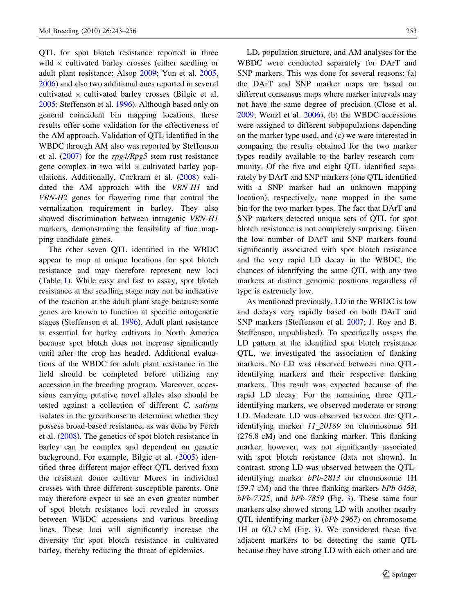QTL for spot blotch resistance reported in three wild  $\times$  cultivated barley crosses (either seedling or adult plant resistance: Alsop [2009;](#page-11-0) Yun et al. [2005,](#page-13-0) [2006\)](#page-13-0) and also two additional ones reported in several cultivated  $\times$  cultivated barley crosses (Bilgic et al. [2005;](#page-11-0) Steffenson et al. [1996\)](#page-13-0). Although based only on general coincident bin mapping locations, these results offer some validation for the effectiveness of the AM approach. Validation of QTL identified in the WBDC through AM also was reported by Steffenson et al.  $(2007)$  $(2007)$  for the  $rpg4/Rpg5$  stem rust resistance gene complex in two wild  $\times$  cultivated barley populations. Additionally, Cockram et al. ([2008\)](#page-12-0) validated the AM approach with the VRN-H1 and VRN-H2 genes for flowering time that control the vernalization requirement in barley. They also showed discrimination between intragenic VRN-H1 markers, demonstrating the feasibility of fine mapping candidate genes.

The other seven QTL identified in the WBDC appear to map at unique locations for spot blotch resistance and may therefore represent new loci (Table [1](#page-6-0)). While easy and fast to assay, spot blotch resistance at the seedling stage may not be indicative of the reaction at the adult plant stage because some genes are known to function at specific ontogenetic stages (Steffenson et al. [1996\)](#page-13-0). Adult plant resistance is essential for barley cultivars in North America because spot blotch does not increase significantly until after the crop has headed. Additional evaluations of the WBDC for adult plant resistance in the field should be completed before utilizing any accession in the breeding program. Moreover, accessions carrying putative novel alleles also should be tested against a collection of different C. sativus isolates in the greenhouse to determine whether they possess broad-based resistance, as was done by Fetch et al. [\(2008](#page-12-0)). The genetics of spot blotch resistance in barley can be complex and dependent on genetic background. For example, Bilgic et al. ([2005](#page-11-0)) identified three different major effect QTL derived from the resistant donor cultivar Morex in individual crosses with three different susceptible parents. One may therefore expect to see an even greater number of spot blotch resistance loci revealed in crosses between WBDC accessions and various breeding lines. These loci will significantly increase the diversity for spot blotch resistance in cultivated barley, thereby reducing the threat of epidemics.

LD, population structure, and AM analyses for the WBDC were conducted separately for DArT and SNP markers. This was done for several reasons: (a) the DArT and SNP marker maps are based on different consensus maps where marker intervals may not have the same degree of precision (Close et al. [2009;](#page-12-0) Wenzl et al. [2006\)](#page-13-0), (b) the WBDC accessions were assigned to different subpopulations depending on the marker type used, and (c) we were interested in comparing the results obtained for the two marker types readily available to the barley research community. Of the five and eight QTL identified separately by DArT and SNP markers (one QTL identified with a SNP marker had an unknown mapping location), respectively, none mapped in the same bin for the two marker types. The fact that DArT and SNP markers detected unique sets of QTL for spot blotch resistance is not completely surprising. Given the low number of DArT and SNP markers found significantly associated with spot blotch resistance and the very rapid LD decay in the WBDC, the chances of identifying the same QTL with any two markers at distinct genomic positions regardless of type is extremely low.

As mentioned previously, LD in the WBDC is low and decays very rapidly based on both DArT and SNP markers (Steffenson et al. [2007](#page-13-0); J. Roy and B. Steffenson, unpublished). To specifically assess the LD pattern at the identified spot blotch resistance QTL, we investigated the association of flanking markers. No LD was observed between nine QTLidentifying markers and their respective flanking markers. This result was expected because of the rapid LD decay. For the remaining three QTLidentifying markers, we observed moderate or strong LD. Moderate LD was observed between the QTLidentifying marker 11\_20189 on chromosome 5H (276.8 cM) and one flanking marker. This flanking marker, however, was not significantly associated with spot blotch resistance (data not shown). In contrast, strong LD was observed between the QTLidentifying marker  $bPb-2813$  on chromosome 1H (59.7 cM) and the three flanking markers bPb-0468, bPb-7325, and bPb-7859 (Fig. [3\)](#page-9-0). These same four markers also showed strong LD with another nearby QTL-identifying marker (bPb-2967) on chromosome 1H at 60.7 cM (Fig. [3](#page-9-0)). We considered these five adjacent markers to be detecting the same QTL because they have strong LD with each other and are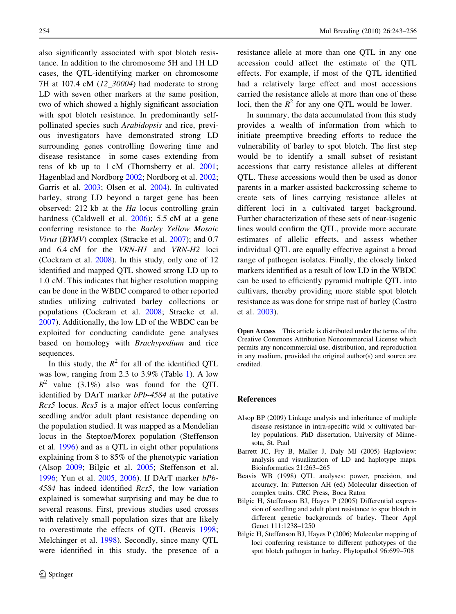<span id="page-11-0"></span>also significantly associated with spot blotch resistance. In addition to the chromosome 5H and 1H LD cases, the QTL-identifying marker on chromosome 7H at 107.4 cM (12\_30004) had moderate to strong LD with seven other markers at the same position, two of which showed a highly significant association with spot blotch resistance. In predominantly selfpollinated species such Arabidopsis and rice, previous investigators have demonstrated strong LD surrounding genes controlling flowering time and disease resistance—in some cases extending from tens of kb up to 1 cM (Thornsberry et al. [2001](#page-13-0); Hagenblad and Nordborg [2002;](#page-12-0) Nordborg et al. [2002](#page-12-0); Garris et al. [2003;](#page-12-0) Olsen et al. [2004](#page-12-0)). In cultivated barley, strong LD beyond a target gene has been observed: 212 kb at the Ha locus controlling grain hardness (Caldwell et al. [2006](#page-12-0)); 5.5 cM at a gene conferring resistance to the Barley Yellow Mosaic Virus (BYMV) complex (Stracke et al. [2007](#page-13-0)); and 0.7 and 6.4 cM for the VRN-H1 and VRN-H2 loci (Cockram et al. [2008](#page-12-0)). In this study, only one of 12 identified and mapped QTL showed strong LD up to 1.0 cM. This indicates that higher resolution mapping can be done in the WBDC compared to other reported studies utilizing cultivated barley collections or populations (Cockram et al. [2008](#page-12-0); Stracke et al. [2007\)](#page-13-0). Additionally, the low LD of the WBDC can be exploited for conducting candidate gene analyses based on homology with Brachypodium and rice sequences.

In this study, the  $R^2$  for all of the identified QTL was low, ranging from 2.3 to 3.9% (Table [1\)](#page-6-0). A low  $R^2$  value (3.1%) also was found for the QTL identified by DArT marker bPb-4584 at the putative Rcs5 locus. Rcs5 is a major effect locus conferring seedling and/or adult plant resistance depending on the population studied. It was mapped as a Mendelian locus in the Steptoe/Morex population (Steffenson et al. [1996](#page-13-0)) and as a QTL in eight other populations explaining from 8 to 85% of the phenotypic variation (Alsop 2009; Bilgic et al. 2005; Steffenson et al. [1996;](#page-13-0) Yun et al. [2005,](#page-13-0) [2006\)](#page-13-0). If DArT marker bPb-4584 has indeed identified Rcs5, the low variation explained is somewhat surprising and may be due to several reasons. First, previous studies used crosses with relatively small population sizes that are likely to overestimate the effects of QTL (Beavis 1998; Melchinger et al. [1998](#page-12-0)). Secondly, since many QTL were identified in this study, the presence of a resistance allele at more than one QTL in any one accession could affect the estimate of the QTL effects. For example, if most of the QTL identified had a relatively large effect and most accessions carried the resistance allele at more than one of these loci, then the  $R^2$  for any one OTL would be lower.

In summary, the data accumulated from this study provides a wealth of information from which to initiate preemptive breeding efforts to reduce the vulnerability of barley to spot blotch. The first step would be to identify a small subset of resistant accessions that carry resistance alleles at different QTL. These accessions would then be used as donor parents in a marker-assisted backcrossing scheme to create sets of lines carrying resistance alleles at different loci in a cultivated target background. Further characterization of these sets of near-isogenic lines would confirm the QTL, provide more accurate estimates of allelic effects, and assess whether individual QTL are equally effective against a broad range of pathogen isolates. Finally, the closely linked markers identified as a result of low LD in the WBDC can be used to efficiently pyramid multiple QTL into cultivars, thereby providing more stable spot blotch resistance as was done for stripe rust of barley (Castro et al. [2003\)](#page-12-0).

Open Access This article is distributed under the terms of the Creative Commons Attribution Noncommercial License which permits any noncommercial use, distribution, and reproduction in any medium, provided the original author(s) and source are credited.

#### References

- Alsop BP (2009) Linkage analysis and inheritance of multiple disease resistance in intra-specific wild  $\times$  cultivated barley populations. PhD dissertation, University of Minnesota, St. Paul
- Barrett JC, Fry B, Maller J, Daly MJ (2005) Haploview: analysis and visualization of LD and haplotype maps. Bioinformatics 21:263–265
- Beavis WB (1998) QTL analyses: power, precision, and accuracy. In: Patterson AH (ed) Molecular dissection of complex traits. CRC Press, Boca Raton
- Bilgic H, Steffenson BJ, Hayes P (2005) Differential expression of seedling and adult plant resistance to spot blotch in different genetic backgrounds of barley. Theor Appl Genet 111:1238–1250
- Bilgic H, Steffenson BJ, Hayes P (2006) Molecular mapping of loci conferring resistance to different pathotypes of the spot blotch pathogen in barley. Phytopathol 96:699–708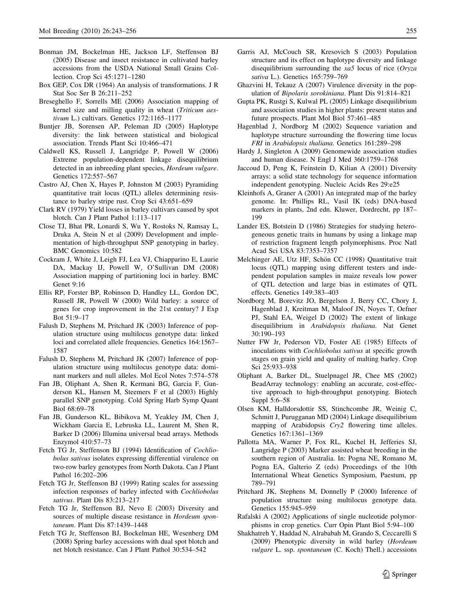- <span id="page-12-0"></span>Bonman JM, Bockelman HE, Jackson LF, Steffenson BJ (2005) Disease and insect resistance in cultivated barley accessions from the USDA National Small Grains Collection. Crop Sci 45:1271–1280
- Box GEP, Cox DR (1964) An analysis of transformations. J R Stat Soc Ser B 26:211–252
- Breseghello F, Sorrells ME (2006) Association mapping of kernel size and milling quality in wheat (Triticum aestivum L.) cultivars. Genetics 172:1165–1177
- Buntjer JB, Sorensen AP, Peleman JD (2005) Haplotype diversity: the link between statistical and biological association. Trends Plant Sci 10:466–471
- Caldwell KS, Russell J, Langridge P, Powell W (2006) Extreme population-dependent linkage disequilibrium detected in an inbreeding plant species, Hordeum vulgare. Genetics 172:557–567
- Castro AJ, Chen X, Hayes P, Johnston M (2003) Pyramiding quantitative trait locus (QTL) alleles determining resistance to barley stripe rust. Crop Sci 43:651–659
- Clark RV (1979) Yield losses in barley cultivars caused by spot blotch. Can J Plant Pathol 1:113–117
- Close TJ, Bhat PR, Lonardi S, Wu Y, Rostoks N, Ramsay L, Druka A, Stein N et al (2009) Development and implementation of high-throughput SNP genotyping in barley. BMC Genomics 10:582
- Cockram J, White J, Leigh FJ, Lea VJ, Chiapparino E, Laurie DA, Mackay IJ, Powell W, O'Sullivan DM (2008) Association mapping of partitioning loci in barley. BMC Genet 9:16
- Ellis RP, Forster BP, Robinson D, Handley LL, Gordon DC, Russell JR, Powell W (2000) Wild barley: a source of genes for crop improvement in the 21st century? J Exp Bot 51:9–17
- Falush D, Stephens M, Pritchard JK (2003) Inference of population structure using multilocus genotype data: linked loci and correlated allele frequencies. Genetics 164:1567– 1587
- Falush D, Stephens M, Pritchard JK (2007) Inference of population structure using multilocus genotype data: dominant markers and null alleles. Mol Ecol Notes 7:574–578
- Fan JB, Oliphant A, Shen R, Kermani BG, Garcia F, Gunderson KL, Hansen M, Steemers F et al (2003) Highly parallel SNP genotyping. Cold Spring Harb Symp Quant Biol 68:69–78
- Fan JB, Gunderson KL, Bibikova M, Yeakley JM, Chen J, Wickham Garcia E, Lebruska LL, Laurent M, Shen R, Barker D (2006) Illumina universal bead arrays. Methods Enzymol 410:57–73
- Fetch TG Jr, Steffenson BJ (1994) Identification of Cochliobolus sativus isolates expressing differential virulence on two-row barley genotypes from North Dakota. Can J Plant Pathol 16:202–206
- Fetch TG Jr, Steffenson BJ (1999) Rating scales for assessing infection responses of barley infected with Cochliobolus sativus. Plant Dis 83:213–217
- Fetch TG Jr, Steffenson BJ, Nevo E (2003) Diversity and sources of multiple disease resistance in Hordeum spontaneum. Plant Dis 87:1439–1448
- Fetch TG Jr, Steffenson BJ, Bockelman HE, Wesenberg DM (2008) Spring barley accessions with dual spot blotch and net blotch resistance. Can J Plant Pathol 30:534–542
- Garris AJ, McCouch SR, Kresovich S (2003) Population structure and its effect on haplotype diversity and linkage disequilibrium surrounding the  $xa5$  locus of rice (Oryza sativa L.). Genetics 165:759–769
- Ghazvini H, Tekauz A (2007) Virulence diversity in the population of Bipolaris sorokiniana. Plant Dis 91:814–821
- Gupta PK, Rustgi S, Kulwal PL (2005) Linkage disequilibrium and association studies in higher plants: present status and future prospects. Plant Mol Biol 57:461–485
- Hagenblad J, Nordborg M (2002) Sequence variation and haplotype structure surrounding the flowering time locus FRI in Arabidopsis thaliana. Genetics 161:289–298
- Hardy J, Singleton A (2009) Genomewide association studies and human disease. N Engl J Med 360:1759–1768
- Jaccoud D, Peng K, Feinstein D, Kilian A (2001) Diversity arrays: a solid state technology for sequence information independent genotyping. Nucleic Acids Res 29:e25
- Kleinhofs A, Graner A (2001) An integrated map of the barley genome. In: Phillips RL, Vasil IK (eds) DNA-based markers in plants, 2nd edn. Kluwer, Dordrecht, pp 187– 199
- Lander ES, Botstein D (1986) Strategies for studying heterogeneous genetic traits in humans by using a linkage map of restriction fragment length polymorphisms. Proc Natl Acad Sci USA 83:7353–7357
- Melchinger AE, Utz HF, Schön CC (1998) Quantitative trait locus (QTL) mapping using different testers and independent population samples in maize reveals low power of QTL detection and large bias in estimates of QTL effects. Genetics 149:383–403
- Nordborg M, Borevitz JO, Bergelson J, Berry CC, Chory J, Hagenblad J, Kreitman M, Maloof JN, Noyes T, Oefner PJ, Stahl EA, Weigel D (2002) The extent of linkage disequilibrium in Arabidopsis thaliana. Nat Genet 30:190–193
- Nutter FW Jr, Pederson VD, Foster AE (1985) Effects of inoculations with Cochliobolus sativus at specific growth stages on grain yield and quality of malting barley. Crop Sci 25:933–938
- Oliphant A, Barker DL, Stuelpnagel JR, Chee MS (2002) BeadArray technology: enabling an accurate, cost-effective approach to high-throughput genotyping. Biotech Suppl 5:6–58
- Olsen KM, Halldorsdottir SS, Stinchcombe JR, Weinig C, Schmitt J, Purugganan MD (2004) Linkage disequilibrium mapping of Arabidopsis Cry2 flowering time alleles. Genetics 167:1361–1369
- Pallotta MA, Warner P, Fox RL, Kuchel H, Jefferies SJ, Langridge P (2003) Marker assisted wheat breeding in the southern region of Australia. In: Pogna NE, Romano M, Pogna EA, Galterio Z (eds) Proceedings of the 10th International Wheat Genetics Symposium, Paestum, pp 789–791
- Pritchard JK, Stephens M, Donnelly P (2000) Inference of population structure using multilocus genotype data. Genetics 155:945–959
- Rafalski A (2002) Applications of single nucleotide polymorphisms in crop genetics. Curr Opin Plant Biol 5:94–100
- Shakhatreh Y, Haddad N, Alrababah M, Grando S, Ceccarelli S (2009) Phenotypic diversity in wild barley (Hordeum vulgare L. ssp. spontaneum (C. Koch) Thell.) accessions